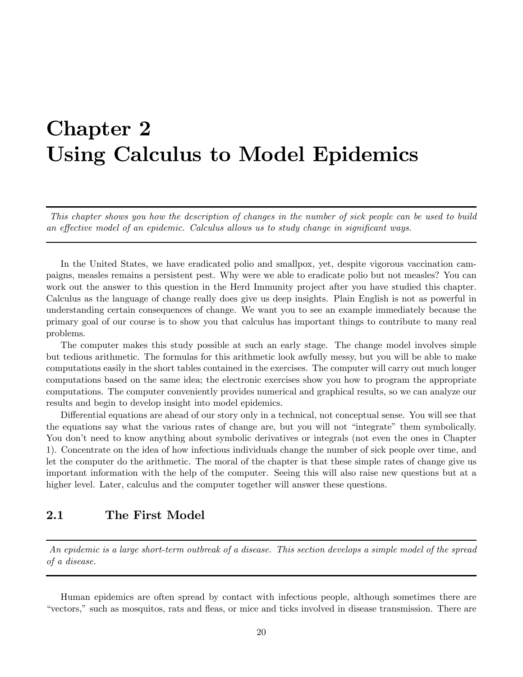# Chapter 2 Using Calculus to Model Epidemics

This chapter shows you how the description of changes in the number of sick people can be used to build an effective model of an epidemic. Calculus allows us to study change in significant ways.

In the United States, we have eradicated polio and smallpox, yet, despite vigorous vaccination campaigns, measles remains a persistent pest. Why were we able to eradicate polio but not measles? You can work out the answer to this question in the Herd Immunity project after you have studied this chapter. Calculus as the language of change really does give us deep insights. Plain English is not as powerful in understanding certain consequences of change. We want you to see an example immediately because the primary goal of our course is to show you that calculus has important things to contribute to many real problems.

The computer makes this study possible at such an early stage. The change model involves simple but tedious arithmetic. The formulas for this arithmetic look awfully messy, but you will be able to make computations easily in the short tables contained in the exercises. The computer will carry out much longer computations based on the same idea; the electronic exercises show you how to program the appropriate computations. The computer conveniently provides numerical and graphical results, so we can analyze our results and begin to develop insight into model epidemics.

Differential equations are ahead of our story only in a technical, not conceptual sense. You will see that the equations say what the various rates of change are, but you will not "integrate" them symbolically. You don't need to know anything about symbolic derivatives or integrals (not even the ones in Chapter 1). Concentrate on the idea of how infectious individuals change the number of sick people over time, and let the computer do the arithmetic. The moral of the chapter is that these simple rates of change give us important information with the help of the computer. Seeing this will also raise new questions but at a higher level. Later, calculus and the computer together will answer these questions.

# 2.1 The First Model

An epidemic is a large short-term outbreak of a disease. This section develops a simple model of the spread of a disease.

Human epidemics are often spread by contact with infectious people, although sometimes there are ìvectors,î such as mosquitos, rats and áeas, or mice and ticks involved in disease transmission. There are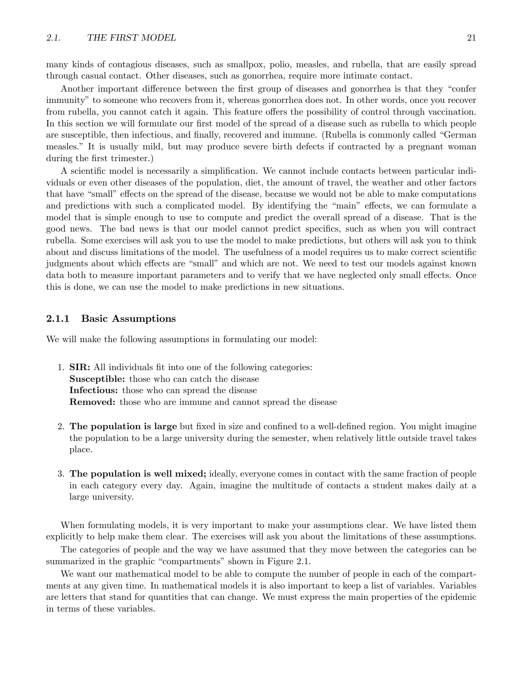many kinds of contagious diseases, such as smallpox, polio, measles, and rubella, that are easily spread through casual contact. Other diseases, such as gonorrhea, require more intimate contact.

Another important difference between the first group of diseases and gonorrhea is that they "conferimmunity" to someone who recovers from it, whereas gonorrhea does not. In other words, once you recover from rubella, you cannot catch it again. This feature offers the possibility of control through vaccination. In this section we will formulate our first model of the spread of a disease such as rubella to which people are susceptible, then infectious, and finally, recovered and immune. (Rubella is commonly called "German" measles.î It is usually mild, but may produce severe birth defects if contracted by a pregnant woman during the first trimester.)

A scientific model is necessarily a simplification. We cannot include contacts between particular individuals or even other diseases of the population, diet, the amount of travel, the weather and other factors that have "small" effects on the spread of the disease, because we would not be able to make computations and predictions with such a complicated model. By identifying the "main" effects, we can formulate a model that is simple enough to use to compute and predict the overall spread of a disease. That is the good news. The bad news is that our model cannot predict specifics, such as when you will contract rubella. Some exercises will ask you to use the model to make predictions, but others will ask you to think about and discuss limitations of the model. The usefulness of a model requires us to make correct scientific judgments about which effects are "small" and which are not. We need to test our models against known data both to measure important parameters and to verify that we have neglected only small effects. Once this is done, we can use the model to make predictions in new situations.

## 2.1.1 Basic Assumptions

We will make the following assumptions in formulating our model:

- 1. **SIR:** All individuals fit into one of the following categories: Susceptible: those who can catch the disease Infectious: those who can spread the disease Removed: those who are immune and cannot spread the disease
- 2. The population is large but fixed in size and confined to a well-defined region. You might imagine the population to be a large university during the semester, when relatively little outside travel takes place.
- 3. The population is well mixed; ideally, everyone comes in contact with the same fraction of people in each category every day. Again, imagine the multitude of contacts a student makes daily at a large university.

When formulating models, it is very important to make your assumptions clear. We have listed them explicitly to help make them clear. The exercises will ask you about the limitations of these assumptions.

The categories of people and the way we have assumed that they move between the categories can be summarized in the graphic "compartments" shown in Figure 2.1.

We want our mathematical model to be able to compute the number of people in each of the compartments at any given time. In mathematical models it is also important to keep a list of variables. Variables are letters that stand for quantities that can change. We must express the main properties of the epidemic in terms of these variables.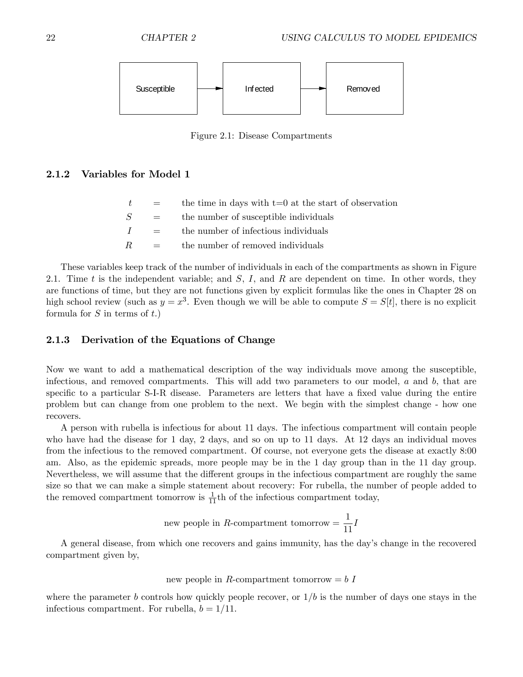



Figure 2.1: Disease Compartments

# 2.1.2 Variables for Model 1

| $\pm$            | $\equiv$ $\equiv$ | the time in days with $t=0$ at the start of observation |
|------------------|-------------------|---------------------------------------------------------|
| - S              | $\equiv$ $\equiv$ | the number of susceptible individuals                   |
| $\top$           | $\equiv$ $\equiv$ | the number of infectious individuals                    |
| $\boldsymbol{R}$ | $\equiv$ $\equiv$ | the number of removed individuals                       |

These variables keep track of the number of individuals in each of the compartments as shown in Figure 2.1. Time t is the independent variable; and  $S$ ,  $I$ , and  $R$  are dependent on time. In other words, they are functions of time, but they are not functions given by explicit formulas like the ones in Chapter 28 on high school review (such as  $y = x^3$ . Even though we will be able to compute  $S = S[t]$ , there is no explicit formula for  $S$  in terms of  $t$ .)

## 2.1.3 Derivation of the Equations of Change

Now we want to add a mathematical description of the way individuals move among the susceptible, infectious, and removed compartments. This will add two parameters to our model, a and b, that are specific to a particular S-I-R disease. Parameters are letters that have a fixed value during the entire problem but can change from one problem to the next. We begin with the simplest change - how one recovers.

A person with rubella is infectious for about 11 days. The infectious compartment will contain people who have had the disease for 1 day, 2 days, and so on up to 11 days. At 12 days an individual moves from the infectious to the removed compartment. Of course, not everyone gets the disease at exactly 8:00 am. Also, as the epidemic spreads, more people may be in the 1 day group than in the 11 day group. Nevertheless, we will assume that the different groups in the infectious compartment are roughly the same size so that we can make a simple statement about recovery: For rubella, the number of people added to the removed compartment tomorrow is  $\frac{1}{11}$ th of the infectious compartment today,

new people in *R*-compartment tomorrow = 
$$
\frac{1}{11}I
$$

A general disease, from which one recovers and gains immunity, has the dayís change in the recovered compartment given by,

new people in R-compartment tomorrow  $= b I$ 

where the parameter b controls how quickly people recover, or  $1/b$  is the number of days one stays in the infectious compartment. For rubella,  $b = 1/11$ .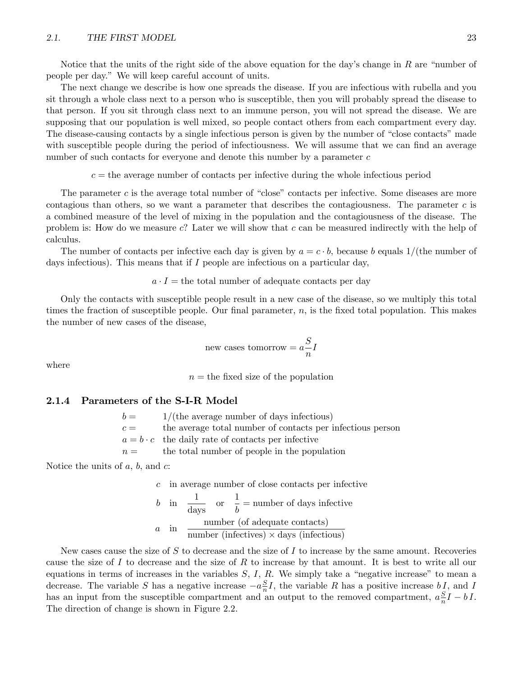Notice that the units of the right side of the above equation for the day's change in  $R$  are "number of people per day.î We will keep careful account of units.

The next change we describe is how one spreads the disease. If you are infectious with rubella and you sit through a whole class next to a person who is susceptible, then you will probably spread the disease to that person. If you sit through class next to an immune person, you will not spread the disease. We are supposing that our population is well mixed, so people contact others from each compartment every day. The disease-causing contacts by a single infectious person is given by the number of "close contacts" made with susceptible people during the period of infectiousness. We will assume that we can find an average number of such contacts for everyone and denote this number by a parameter  $c$ 

 $c =$  the average number of contacts per infective during the whole infectious period

The parameter  $c$  is the average total number of "close" contacts per infective. Some diseases are more contagious than others, so we want a parameter that describes the contagiousness. The parameter  $c$  is a combined measure of the level of mixing in the population and the contagiousness of the disease. The problem is: How do we measure  $c$ ? Later we will show that c can be measured indirectly with the help of calculus.

The number of contacts per infective each day is given by  $a = c \cdot b$ , because b equals  $1/($ the number of days infectious). This means that if  $I$  people are infectious on a particular day,

 $a \cdot I$  = the total number of adequate contacts per day

Only the contacts with susceptible people result in a new case of the disease, so we multiply this total times the fraction of susceptible people. Our final parameter,  $n$ , is the fixed total population. This makes the number of new cases of the disease,

$$
\text{new cases tomorrow} = a \frac{S}{n} I
$$

where

$$
n =
$$
 the fixed size of the population

## 2.1.4 Parameters of the S-I-R Model

| $b =$ | $1/(the average number of days infectious)$                |
|-------|------------------------------------------------------------|
| $c =$ | the average total number of contacts per infectious person |
|       | $a = b \cdot c$ the daily rate of contacts per infective   |
| $n =$ | the total number of people in the population               |
|       |                                                            |

Notice the units of  $a, b$ , and  $c$ :

 $c$  in average number of close contacts per infective 1 1

b in 
$$
\frac{1}{\text{days}}
$$
 or  $\frac{1}{b}$  = number of days infective  
a in number (of adequate contacts)  
number (infectives) × days (infectious)

New cases cause the size of  $S$  to decrease and the size of  $I$  to increase by the same amount. Recoveries cause the size of I to decrease and the size of R to increase by that amount. It is best to write all our equations in terms of increases in the variables  $S, I, R$ . We simply take a "negative increase" to mean a decrease. The variable S has a negative increase  $-a_n^S$  $\frac{S}{n}I$ , the variable R has a positive increase  $bI$ , and I has an input from the susceptible compartment and an output to the removed compartment,  $a_n^S$  $\frac{S}{n}I-bI.$ The direction of change is shown in Figure 2.2.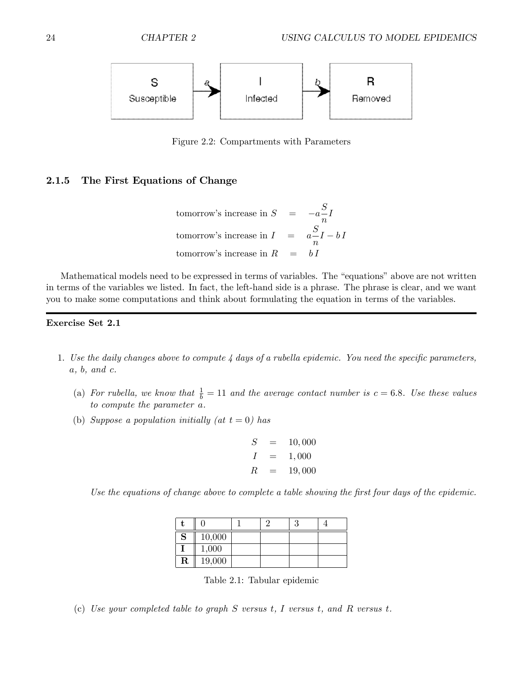

Figure 2.2: Compartments with Parameters

## 2.1.5 The First Equations of Change

tomorrow's increase in  $S = -a \frac{S}{n}$  $\frac{n}{n}$ tomorrow's increase in  $I = a^{\frac{S}{A}}$  $\frac{n}{n}I-bI$ tomorrow's increase in  $R = bI$ 

Mathematical models need to be expressed in terms of variables. The "equations" above are not written in terms of the variables we listed. In fact, the left-hand side is a phrase. The phrase is clear, and we want you to make some computations and think about formulating the equation in terms of the variables.

## Exercise Set 2.1

- 1. Use the daily changes above to compute  $\lambda$  days of a rubella epidemic. You need the specific parameters, a, b, and c.
	- (a) For rubella, we know that  $\frac{1}{b} = 11$  and the average contact number is  $c = 6.8$ . Use these values to compute the parameter a.
	- (b) Suppose a population initially (at  $t = 0$ ) has

| S        | $=$ | 10,000 |
|----------|-----|--------|
| $\prime$ | =   | 1,000  |
| R.       |     | 19,000 |

Use the equations of change above to complete a table showing the first four days of the epidemic.

| S         | 10,000 |  |  |
|-----------|--------|--|--|
|           | 1,000  |  |  |
| ${\bf R}$ | 19,000 |  |  |

Table 2.1: Tabular epidemic

(c) Use your completed table to graph S versus t, I versus t, and R versus t.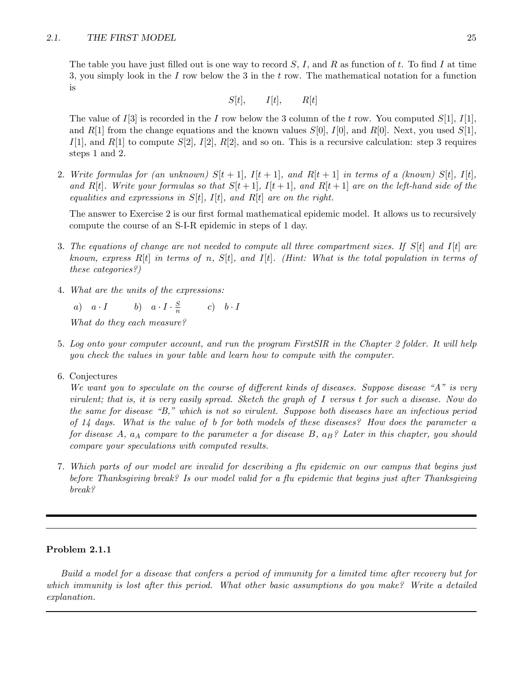The table you have just filled out is one way to record  $S, I$ , and R as function of t. To find I at time 3, you simply look in the I row below the 3 in the  $t$  row. The mathematical notation for a function is

 $S[t], \qquad I[t], \qquad R[t]$ 

The value of  $I[3]$  is recorded in the I row below the 3 column of the t row. You computed  $S[1]$ ,  $I[1]$ , and R[1] from the change equations and the known values  $S[0], I[0],$  and R[0]. Next, you used  $S[1],$  $I[1]$ , and  $R[1]$  to compute  $S[2]$ ,  $I[2]$ ,  $R[2]$ , and so on. This is a recursive calculation: step 3 requires steps 1 and 2.

2. Write formulas for (an unknown)  $S[t + 1]$ ,  $I[t + 1]$ , and  $R[t + 1]$  in terms of a (known)  $S[t]$ ,  $I[t]$ , and R[t]. Write your formulas so that  $S[t+1]$ ,  $I[t+1]$ , and  $R[t+1]$  are on the left-hand side of the equalities and expressions in  $S[t]$ ,  $I[t]$ , and  $R[t]$  are on the right.

The answer to Exercise 2 is our first formal mathematical epidemic model. It allows us to recursively compute the course of an S-I-R epidemic in steps of 1 day.

- 3. The equations of change are not needed to compute all three compartment sizes. If  $S[t]$  and  $I[t]$  are known, express  $R[t]$  in terms of n,  $S[t]$ , and  $I[t]$ . (Hint: What is the total population in terms of these categories?)
- 4. What are the units of the expressions:

a)  $a \cdot I$  b)  $a \cdot I \cdot \frac{S}{n}$  $\frac{S}{n}$  c)  $b \cdot I$ 

What do they each measure?

- 5. Log onto your computer account, and run the program FirstSIR in the Chapter 2 folder. It will help you check the values in your table and learn how to compute with the computer.
- 6. Conjectures

We want you to speculate on the course of different kinds of diseases. Suppose disease  $A^*$  is very virulent; that is, it is very easily spread. Sketch the graph of I versus t for such a disease. Now do the same for disease  $B$ ," which is not so virulent. Suppose both diseases have an infectious period of  $14$  days. What is the value of b for both models of these diseases? How does the parameter a for disease A,  $a_A$  compare to the parameter a for disease B,  $a_B$ ? Later in this chapter, you should compare your speculations with computed results.

7. Which parts of our model are invalid for describing a flu epidemic on our campus that begins just before Thanksgiving break? Is our model valid for a flu epidemic that begins just after Thanksgiving break?

## Problem 2.1.1

Build a model for a disease that confers a period of immunity for a limited time after recovery but for which immunity is lost after this period. What other basic assumptions do you make? Write a detailed explanation.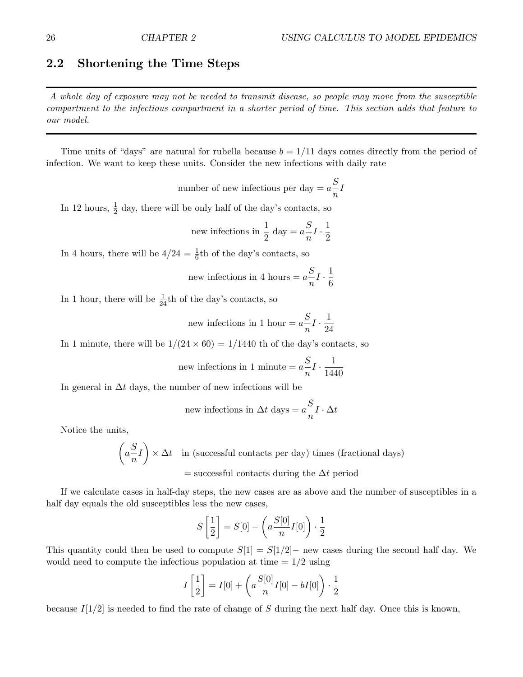# 2.2 Shortening the Time Steps

A whole day of exposure may not be needed to transmit disease, so people may move from the susceptible compartment to the infectious compartment in a shorter period of time. This section adds that feature to our model.

Time units of "days" are natural for rubella because  $b = 1/11$  days comes directly from the period of infection. We want to keep these units. Consider the new infections with daily rate

number of new infectious per day = 
$$
a \frac{S}{n} I
$$

In 12 hours,  $\frac{1}{2}$  day, there will be only half of the day's contacts, so

new infections in 
$$
\frac{1}{2}
$$
 day  $= a\frac{S}{n}I \cdot \frac{1}{2}$ 

In 4 hours, there will be  $4/24 = \frac{1}{6}$ th of the day's contacts, so

new infections in 4 hours = 
$$
a\frac{S}{n}I \cdot \frac{1}{6}
$$

In 1 hour, there will be  $\frac{1}{24}$ th of the day's contacts, so

new infections in 1 hour = 
$$
a \frac{S}{n} I \cdot \frac{1}{24}
$$

In 1 minute, there will be  $1/(24 \times 60) = 1/1440$  th of the day's contacts, so

new infections in 1 minute = 
$$
a\frac{S}{n}I \cdot \frac{1}{1440}
$$

In general in  $\Delta t$  days, the number of new infections will be

new infections in 
$$
\Delta t
$$
 days =  $a \frac{S}{n} I \cdot \Delta t$ 

Notice the units,

$$
\left(a\frac{S}{n}\right) \times \Delta t
$$
 in (successful contacts per day) times (fractional days)  
= successful contacts during the  $\Delta t$  period

If we calculate cases in half-day steps, the new cases are as above and the number of susceptibles in a half day equals the old susceptibles less the new cases,

$$
S\left[\frac{1}{2}\right] = S[0] - \left(a\frac{S[0]}{n}I[0]\right) \cdot \frac{1}{2}
$$

This quantity could then be used to compute  $S[1] = S[1/2]$  new cases during the second half day. We would need to compute the infectious population at time  $= 1/2$  using

$$
I\left[\frac{1}{2}\right] = I[0] + \left(a\frac{S[0]}{n}I[0] - bI[0]\right) \cdot \frac{1}{2}
$$

because  $I(1/2)$  is needed to find the rate of change of S during the next half day. Once this is known,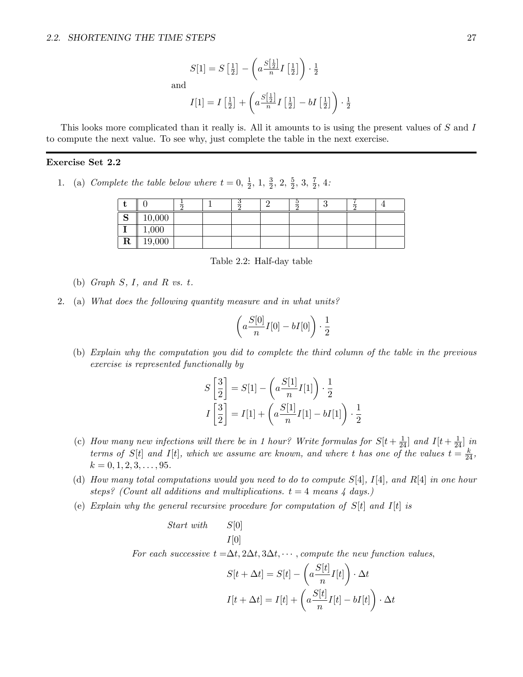$$
S[1] = S\left[\frac{1}{2}\right] - \left(a\frac{S\left[\frac{1}{2}\right]}{n}I\left[\frac{1}{2}\right]\right) \cdot \frac{1}{2}
$$
  
and  

$$
I[1] = I\left[\frac{1}{2}\right] + \left(a\frac{S\left[\frac{1}{2}\right]}{n}I\left[\frac{1}{2}\right] - bI\left[\frac{1}{2}\right]\right) \cdot \frac{1}{2}
$$

This looks more complicated than it really is. All it amounts to is using the present values of S and I to compute the next value. To see why, just complete the table in the next exercise.

## Exercise Set 2.2

1. (a) Complete the table below where  $t=0, \frac{1}{2}$  $\frac{1}{2}$ , 1,  $\frac{3}{2}$  $\frac{3}{2}$ , 2,  $\frac{5}{2}$  $\frac{5}{2}$ , 3,  $\frac{7}{2}$  $\frac{7}{2}$ , 4:

| ⌒<br>◡ | 10,000    |  |  |  |  |
|--------|-----------|--|--|--|--|
|        | .UUU<br>ᅩ |  |  |  |  |
| n.     | 19,000    |  |  |  |  |

Table 2.2: Half-day table

- (b) Graph  $S$ ,  $I$ , and  $R$  vs.  $t$ .
- 2. (a) What does the following quantity measure and in what units?

$$
\left(a\frac{S[0]}{n}I[0]-bI[0]\right)\cdot\frac{1}{2}
$$

(b) Explain why the computation you did to complete the third column of the table in the previous exercise is represented functionally by

$$
S\left[\frac{3}{2}\right] = S[1] - \left(a\frac{S[1]}{n}I[1]\right) \cdot \frac{1}{2}
$$

$$
I\left[\frac{3}{2}\right] = I[1] + \left(a\frac{S[1]}{n}I[1] - bI[1]\right) \cdot \frac{1}{2}
$$

- (c) How many new infections will there be in 1 hour? Write formulas for  $S[t+\frac{1}{24}]$  and  $I[t+\frac{1}{24}]$  in terms of S[t] and I[t], which we assume are known, and where t has one of the values  $t = \frac{k}{24}$ ,  $k = 0, 1, 2, 3, \ldots, 95.$
- (d) How many total computations would you need to do to compute  $S[4]$ ,  $I[4]$ , and  $R[4]$  in one hour steps? (Count all additions and multiplications.  $t = 4$  means  $4$  days.)
- (e) Explain why the general recursive procedure for computation of  $S[t]$  and  $I[t]$  is

Start with 
$$
S[0]
$$
  
 $I[0]$ 

For each successive  $t = \Delta t, 2\Delta t, 3\Delta t, \cdots$ , compute the new function values,

$$
S[t + \Delta t] = S[t] - \left(a\frac{S[t]}{n}I[t]\right) \cdot \Delta t
$$

$$
I[t + \Delta t] = I[t] + \left(a\frac{S[t]}{n}I[t] - bI[t]\right) \cdot \Delta t
$$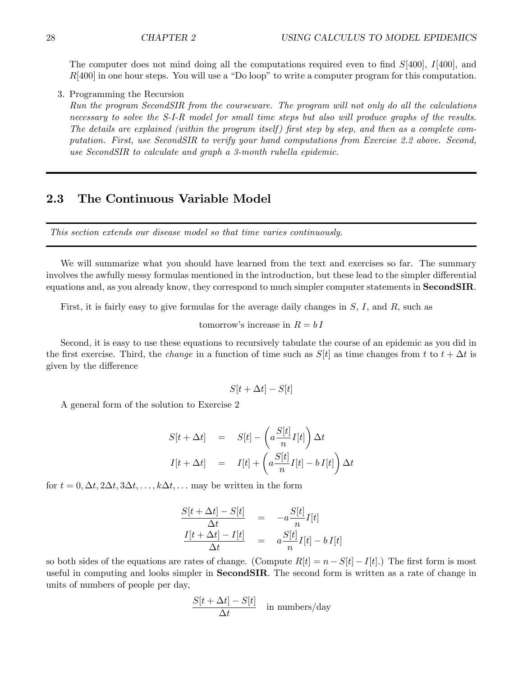The computer does not mind doing all the computations required even to find  $S[400]$ ,  $I[400]$ , and  $R[400]$  in one hour steps. You will use a "Do loop" to write a computer program for this computation.

3. Programming the Recursion

Run the program SecondSIR from the courseware. The program will not only do all the calculations necessary to solve the S-I-R model for small time steps but also will produce graphs of the results. The details are explained (within the program itself) first step by step, and then as a complete computation. First, use SecondSIR to verify your hand computations from Exercise 2.2 above. Second, use SecondSIR to calculate and graph a 3-month rubella epidemic.

# 2.3 The Continuous Variable Model

This section extends our disease model so that time varies continuously.

We will summarize what you should have learned from the text and exercises so far. The summary involves the awfully messy formulas mentioned in the introduction, but these lead to the simpler differential equations and, as you already know, they correspond to much simpler computer statements in **SecondSIR**.

First, it is fairly easy to give formulas for the average daily changes in S, I, and R, such as

tomorrow's increase in  $R = bI$ 

Second, it is easy to use these equations to recursively tabulate the course of an epidemic as you did in the first exercise. Third, the *change* in a function of time such as  $S[t]$  as time changes from t to  $t + \Delta t$  is given by the difference

$$
S[t + \Delta t] - S[t]
$$

A general form of the solution to Exercise 2

$$
S[t + \Delta t] = S[t] - \left(a\frac{S[t]}{n}I[t]\right)\Delta t
$$

$$
I[t + \Delta t] = I[t] + \left(a\frac{S[t]}{n}I[t] - bI[t]\right)\Delta t
$$

for  $t = 0, \Delta t, 2\Delta t, 3\Delta t, \ldots, k\Delta t, \ldots$  may be written in the form

$$
\frac{S[t + \Delta t] - S[t]}{\Delta t} = -a \frac{S[t]}{n} I[t]
$$
  

$$
\frac{I[t + \Delta t] - I[t]}{\Delta t} = a \frac{S[t]}{n} I[t] - b I[t]
$$

so both sides of the equations are rates of change. (Compute  $R[t] = n - S[t] - I[t]$ .) The first form is most useful in computing and looks simpler in **SecondSIR**. The second form is written as a rate of change in units of numbers of people per day,

$$
\frac{S[t + \Delta t] - S[t]}{\Delta t}
$$
 in numbers/day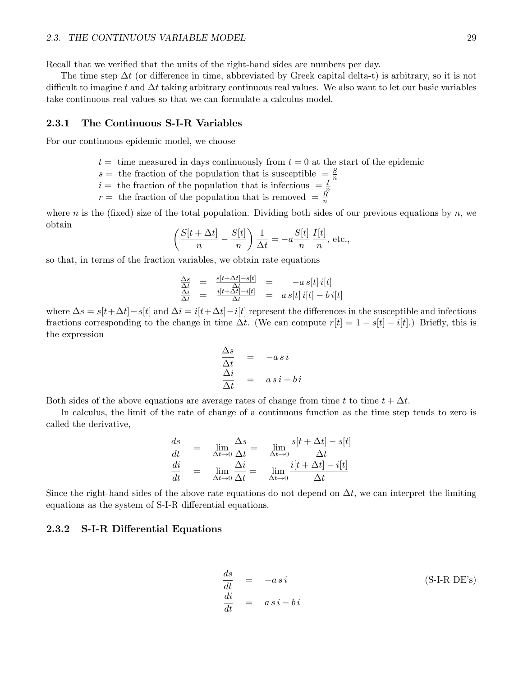## 2.3. THE CONTINUOUS VARIABLE MODEL 29

Recall that we verified that the units of the right-hand sides are numbers per day.

The time step  $\Delta t$  (or difference in time, abbreviated by Greek capital delta-t) is arbitrary, so it is not difficult to imagine t and  $\Delta t$  taking arbitrary continuous real values. We also want to let our basic variables take continuous real values so that we can formulate a calculus model.

#### 2.3.1 The Continuous S-I-R Variables

For our continuous epidemic model, we choose

- $t =$  time measured in days continuously from  $t = 0$  at the start of the epidemic
- $s =$  the fraction of the population that is susceptible  $= \frac{S}{n}$  $\overline{n}$
- $i =$  the fraction of the population that is infectious  $=$   $\frac{1}{n}$
- $r =$  the fraction of the population that is removed  $= \frac{R}{r}$ n

where n is the (fixed) size of the total population. Dividing both sides of our previous equations by n, we obtain  $\sim$  for  $\sim$ 

$$
\left(\frac{S[t+\Delta t]}{n} - \frac{S[t]}{n}\right)\frac{1}{\Delta t} = -a\frac{S[t]}{n}\frac{I[t]}{n}, \text{ etc.},
$$

so that, in terms of the fraction variables, we obtain rate equations

$$
\begin{array}{rcl}\n\frac{\Delta s}{\Delta t} & = & \frac{s[t+\Delta t]-s[t]}{\Delta t} & = & -a \, s[t] \, i[t] \\
\frac{\Delta i}{\Delta t} & = & \frac{i[t+\Delta t]-i[t]}{\Delta t} & = & a \, s[t] \, i[t] - b \, i[t]\n\end{array}
$$

where  $\Delta s = s[t+\Delta t]-s[t]$  and  $\Delta i = i[t+\Delta t]-i[t]$  represent the differences in the susceptible and infectious fractions corresponding to the change in time  $\Delta t$ . (We can compute  $r[t] = 1 - s[t] - i[t]$ .) Briefly, this is the expression

$$
\begin{array}{rcl}\n\frac{\Delta s}{\Delta t} & = & -a s i \\
\frac{\Delta i}{\Delta t} & = & a s i - b i\n\end{array}
$$

Both sides of the above equations are average rates of change from time t to time  $t + \Delta t$ .

In calculus, the limit of the rate of change of a continuous function as the time step tends to zero is called the derivative,

$$
\frac{ds}{dt} = \lim_{\Delta t \to 0} \frac{\Delta s}{\Delta t} = \lim_{\Delta t \to 0} \frac{s[t + \Delta t] - s[t]}{\Delta t}
$$

$$
\frac{di}{dt} = \lim_{\Delta t \to 0} \frac{\Delta i}{\Delta t} = \lim_{\Delta t \to 0} \frac{i[t + \Delta t] - i[t]}{\Delta t}
$$

Since the right-hand sides of the above rate equations do not depend on  $\Delta t$ , we can interpret the limiting equations as the system of S-I-R differential equations.

#### 2.3.2 S-I-R Differential Equations

$$
\begin{array}{rcl}\n\frac{ds}{dt} & = & -a s i \\
\frac{di}{dt} & = & a s i - b i\n\end{array}
$$
\n(S-I-R DE's)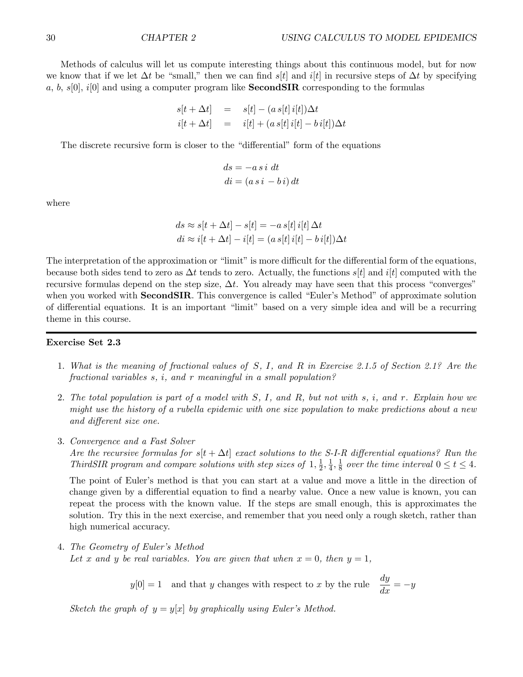Methods of calculus will let us compute interesting things about this continuous model, but for now we know that if we let  $\Delta t$  be "small," then we can find s[t] and i[t] in recursive steps of  $\Delta t$  by specifying a, b, s[0], i[0] and using a computer program like **SecondSIR** corresponding to the formulas

$$
s[t + \Delta t] = s[t] - (a s[t] i[t]) \Delta t
$$
  

$$
i[t + \Delta t] = i[t] + (a s[t] i[t] - b i[t]) \Delta t
$$

The discrete recursive form is closer to the "differential" form of the equations

$$
ds = -a s i dt
$$
  

$$
di = (a s i - b i) dt
$$

where

$$
ds \approx s[t + \Delta t] - s[t] = -a s[t] i[t] \Delta t
$$
  

$$
di \approx i[t + \Delta t] - i[t] = (a s[t] i[t] - b i[t]) \Delta t
$$

The interpretation of the approximation or "limit" is more difficult for the differential form of the equations, because both sides tend to zero as  $\Delta t$  tends to zero. Actually, the functions  $s|t|$  and  $i|t|$  computed with the recursive formulas depend on the step size,  $\Delta t$ . You already may have seen that this process "converges" when you worked with **SecondSIR**. This convergence is called "Euler's Method" of approximate solution of differential equations. It is an important "limit" based on a very simple idea and will be a recurring theme in this course.

## Exercise Set 2.3

- 1. What is the meaning of fractional values of S, I, and R in Exercise 2.1.5 of Section 2.1? Are the fractional variables s, i, and r meaningful in a small population?
- 2. The total population is part of a model with S, I, and R, but not with s, i, and r. Explain how we might use the history of a rubella epidemic with one size population to make predictions about a new and different size one.
- 3. Convergence and a Fast Solver Are the recursive formulas for  $s[t + \Delta t]$  exact solutions to the S-I-R differential equations? Run the ThirdSIR program and compare solutions with step sizes of  $1, \frac{1}{2}$  $\frac{1}{2}, \frac{1}{4}$  $\frac{1}{4}, \frac{1}{8}$  $\frac{1}{8}$  over the time interval  $0 \le t \le 4$ .

The point of Euler's method is that you can start at a value and move a little in the direction of change given by a differential equation to find a nearby value. Once a new value is known, you can repeat the process with the known value. If the steps are small enough, this is approximates the solution. Try this in the next exercise, and remember that you need only a rough sketch, rather than high numerical accuracy.

4. The Geometry of Euler's Method Let x and y be real variables. You are given that when  $x = 0$ , then  $y = 1$ ,

 $y[0] = 1$  and that y changes with respect to x by the rule  $\frac{dy}{dx} = -y$ 

Sketch the graph of  $y = y[x]$  by graphically using Euler's Method.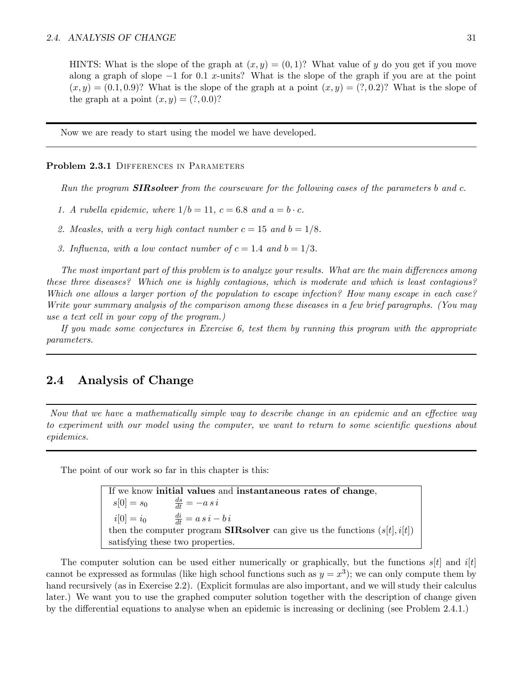HINTS: What is the slope of the graph at  $(x, y) = (0, 1)$ ? What value of y do you get if you move along a graph of slope  $-1$  for 0.1 x-units? What is the slope of the graph if you are at the point  $(x, y) = (0.1, 0.9)$ ? What is the slope of the graph at a point  $(x, y) = (2, 0.2)$ ? What is the slope of the graph at a point  $(x, y) = (?, 0.0)$ ?

Now we are ready to start using the model we have developed.

#### Problem 2.3.1 DIFFERENCES IN PARAMETERS

Run the program **SIRsolver** from the courseware for the following cases of the parameters b and c.

- 1. A rubella epidemic, where  $1/b = 11$ ,  $c = 6.8$  and  $a = b \cdot c$ .
- 2. Measles, with a very high contact number  $c = 15$  and  $b = 1/8$ .
- 3. Influenza, with a low contact number of  $c = 1.4$  and  $b = 1/3$ .

The most important part of this problem is to analyze your results. What are the main differences among these three diseases? Which one is highly contagious, which is moderate and which is least contagious? Which one allows a larger portion of the population to escape infection? How many escape in each case? Write your summary analysis of the comparison among these diseases in a few brief paragraphs. (You may use a text cell in your copy of the program.)

If you made some conjectures in Exercise 6, test them by running this program with the appropriate parameters.

# 2.4 Analysis of Change

Now that we have a mathematically simple way to describe change in an epidemic and an effective way to experiment with our model using the computer, we want to return to some scientific questions about epidemics.

The point of our work so far in this chapter is this:

If we know initial values and instantaneous rates of change,  $s[0] = s_0$   $\frac{ds}{dt} = -a s i$  $i[0] = i_0$   $\frac{di}{dt} = a s i - b i$ then the computer program **SIRsolver** can give us the functions  $(s[t], i[t])$ satisfying these two properties.

The computer solution can be used either numerically or graphically, but the functions  $s[t]$  and  $i[t]$ cannot be expressed as formulas (like high school functions such as  $y = x^3$ ); we can only compute them by hand recursively (as in Exercise 2.2). (Explicit formulas are also important, and we will study their calculus later.) We want you to use the graphed computer solution together with the description of change given by the differential equations to analyse when an epidemic is increasing or declining (see Problem  $2.4.1$ .)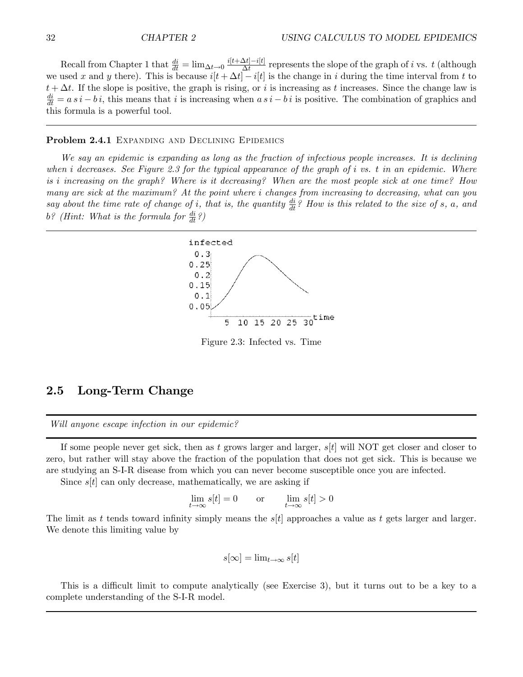Recall from Chapter 1 that  $\frac{di}{dt} = \lim_{\Delta t \to 0} \frac{i[t+\Delta t] - i[t]}{\Delta t}$  represents the slope of the graph of i vs. t (although we used x and y there). This is because  $i[t + \Delta t] - i[t]$  is the change in i during the time interval from t to  $t + \Delta t$ . If the slope is positive, the graph is rising, or i is increasing as t increases. Since the change law is  $\frac{di}{dt} = a s i - b i$ , this means that i is increasing when  $a s i - b i$  is positive. The combination of graphics and this formula is a powerful tool.

#### Problem 2.4.1 EXPANDING AND DECLINING EPIDEMICS

We say an epidemic is expanding as long as the fraction of infectious people increases. It is declining when i decreases. See Figure 2.3 for the typical appearance of the graph of i vs. t in an epidemic. Where is i increasing on the graph? Where is it decreasing? When are the most people sick at one time? How many are sick at the maximum? At the point where i changes from increasing to decreasing, what can you say about the time rate of change of i, that is, the quantity  $\frac{di}{dt}$ ? How is this related to the size of s, a, and b? (Hint: What is the formula for  $\frac{di}{dt}$ ?)



Figure 2.3: Infected vs. Time

# 2.5 Long-Term Change

Will anyone escape infection in our epidemic?

If some people never get sick, then as t grows larger and larger,  $s[t]$  will NOT get closer and closer to zero, but rather will stay above the fraction of the population that does not get sick. This is because we are studying an S-I-R disease from which you can never become susceptible once you are infected.

Since  $s[t]$  can only decrease, mathematically, we are asking if

$$
\lim_{t \to \infty} s[t] = 0 \qquad \text{or} \qquad \lim_{t \to \infty} s[t] > 0
$$

The limit as t tends toward infinity simply means the s[t] approaches a value as t gets larger and larger. We denote this limiting value by

$$
s[\infty] = \lim_{t \to \infty} s[t]
$$

This is a difficult limit to compute analytically (see Exercise 3), but it turns out to be a key to a complete understanding of the S-I-R model.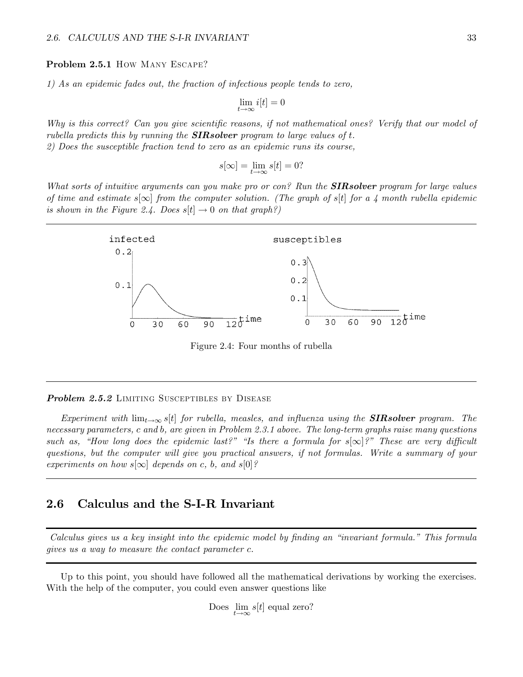#### Problem 2.5.1 How MANY ESCAPE?

1) As an epidemic fades out, the fraction of infectious people tends to zero,

$$
\lim_{t \to \infty} i[t] = 0
$$

Why is this correct? Can you give scientific reasons, if not mathematical ones? Verify that our model of rubella predicts this by running the **SIRsolver** program to large values of  $t$ .

2) Does the susceptible fraction tend to zero as an epidemic runs its course,

$$
s[\infty] = \lim_{t \to \infty} s[t] = 0?
$$

What sorts of intuitive arguments can you make pro or con? Run the **SIRsolver** program for large values of time and estimate  $s[\infty]$  from the computer solution. (The graph of  $s[t]$  for a 4 month rubella epidemic is shown in the Figure 2.4. Does  $s[t] \rightarrow 0$  on that graph?)



Figure 2.4: Four months of rubella

## **Problem 2.5.2** LIMITING SUSCEPTIBLES BY DISEASE

Experiment with  $\lim_{t\to\infty} s[t]$  for rubella, measles, and influenza using the **SIRsolver** program. The necessary parameters, c and b, are given in Problem 2.3.1 above. The long-term graphs raise many questions such as, "How long does the epidemic last?" "Is there a formula for  $s[\infty]$ ?" These are very difficult questions, but the computer will give you practical answers, if not formulas. Write a summary of your experiments on how  $s[\infty]$  depends on c, b, and  $s[0]$ ?

## 2.6 Calculus and the S-I-R Invariant

Calculus gives us a key insight into the epidemic model by finding an "invariant formula." This formula gives us a way to measure the contact parameter c.

Up to this point, you should have followed all the mathematical derivations by working the exercises. With the help of the computer, you could even answer questions like

Does 
$$
\lim_{t \to \infty} s[t]
$$
 equal zero?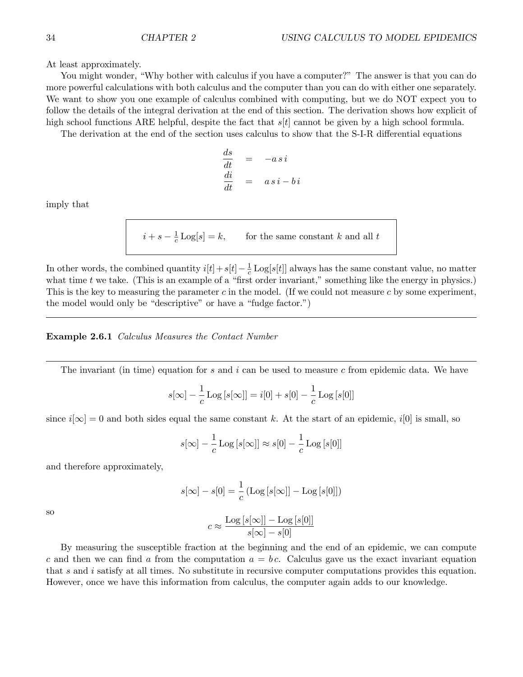At least approximately.

You might wonder, "Why bother with calculus if you have a computer?" The answer is that you can do more powerful calculations with both calculus and the computer than you can do with either one separately. We want to show you one example of calculus combined with computing, but we do NOT expect you to follow the details of the integral derivation at the end of this section. The derivation shows how explicit of high school functions ARE helpful, despite the fact that  $s[t]$  cannot be given by a high school formula.

The derivation at the end of the section uses calculus to show that the S-I-R differential equations

$$
\begin{array}{rcl}\n\frac{ds}{dt} & = & -a s i \\
\frac{di}{dt} & = & a s i - b i\n\end{array}
$$

imply that

$$
i + s - \frac{1}{c} \text{Log}[s] = k
$$
, for the same constant k and all t

In other words, the combined quantity  $i[t] + s[t] - \frac{1}{c}$  $\frac{1}{c}$  Log[s[t]] always has the same constant value, no matter what time  $t$  we take. (This is an example of a "first order invariant," something like the energy in physics.) This is the key to measuring the parameter  $c$  in the model. (If we could not measure  $c$  by some experiment, the model would only be "descriptive" or have a "fudge factor.")

#### Example 2.6.1 Calculus Measures the Contact Number

The invariant (in time) equation for s and i can be used to measure c from epidemic data. We have

$$
s[\infty] - \frac{1}{c} \log [s[\infty]] = i[0] + s[0] - \frac{1}{c} \log [s[0]]
$$

since  $i|\infty|=0$  and both sides equal the same constant k. At the start of an epidemic,  $i|0|$  is small, so

$$
s[\infty] - \frac{1}{c} \operatorname{Log} \left[ s[\infty] \right] \approx s[0] - \frac{1}{c} \operatorname{Log} \left[ s[0] \right]
$$

and therefore approximately,

$$
s[\infty] - s[0] = \frac{1}{c} \left( \text{Log} \left[ s[\infty] \right] - \text{Log} \left[ s[0] \right] \right)
$$

so

$$
c \approx \frac{\text{Log}[s[\infty]] - \text{Log}[s[0]]}{s[\infty] - s[0]}
$$

By measuring the susceptible fraction at the beginning and the end of an epidemic, we can compute c and then we can find a from the computation  $a = bc$ . Calculus gave us the exact invariant equation that s and i satisfy at all times. No substitute in recursive computer computations provides this equation. However, once we have this information from calculus, the computer again adds to our knowledge.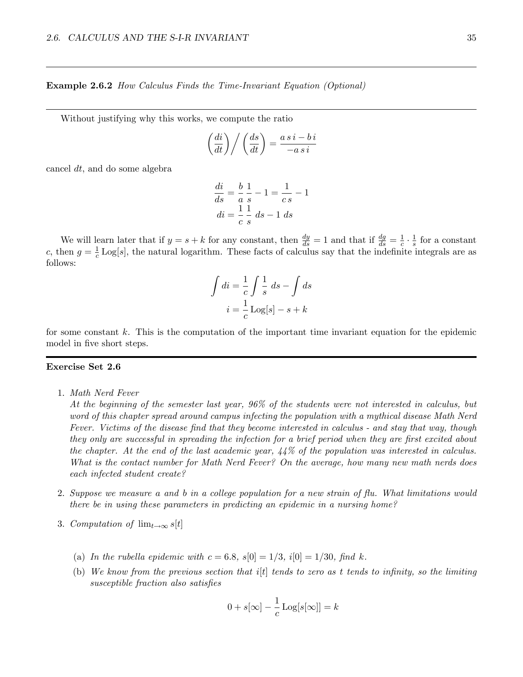#### Example 2.6.2 How Calculus Finds the Time-Invariant Equation (Optional)

Without justifying why this works, we compute the ratio

$$
\left(\frac{di}{dt}\right) \bigg/ \left(\frac{ds}{dt}\right) = \frac{a\,s\,i - bi}{-a\,s\,i}
$$

cancel dt, and do some algebra

$$
\frac{di}{ds} = \frac{b}{a} \frac{1}{s} - 1 = \frac{1}{cs} - 1
$$

$$
di = \frac{1}{c} \frac{1}{s} ds - 1 ds
$$

We will learn later that if  $y = s + k$  for any constant, then  $\frac{dy}{ds} = 1$  and that if  $\frac{dg}{ds} = \frac{1}{c}$  $\frac{1}{c} \cdot \frac{1}{s}$  $\frac{1}{s}$  for a constant c, then  $g = \frac{1}{c}$  $\frac{1}{c}$  Log[s], the natural logarithm. These facts of calculus say that the indefinite integrals are as follows:

$$
\int di = \frac{1}{c} \int \frac{1}{s} ds - \int ds
$$

$$
i = \frac{1}{c} \log[s] - s + k
$$

for some constant k. This is the computation of the important time invariant equation for the epidemic model in five short steps.

## Exercise Set 2.6

1. Math Nerd Fever

At the beginning of the semester last year, 96% of the students were not interested in calculus, but word of this chapter spread around campus infecting the population with a mythical disease Math Nerd Fever. Victims of the disease find that they become interested in calculus - and stay that way, though they only are successful in spreading the infection for a brief period when they are first excited about the chapter. At the end of the last academic year,  $44\%$  of the population was interested in calculus. What is the contact number for Math Nerd Fever? On the average, how many new math nerds does each infected student create?

- 2. Suppose we measure a and b in a college population for a new strain of flu. What limitations would there be in using these parameters in predicting an epidemic in a nursing home?
- 3. Computation of  $\lim_{t\to\infty} s[t]$ 
	- (a) In the rubella epidemic with  $c = 6.8$ ,  $s[0] = 1/3$ ,  $i[0] = 1/30$ , find k.
	- (b) We know from the previous section that i[t] tends to zero as t tends to infinity, so the limiting susceptible fraction also satisfies

$$
0 + s[\infty] - \frac{1}{c} \text{Log}[s[\infty]] = k
$$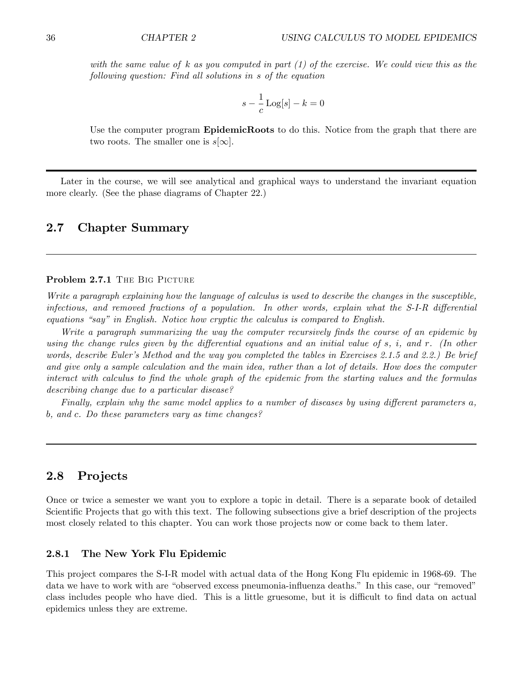with the same value of k as you computed in part  $(1)$  of the exercise. We could view this as the following question: Find all solutions in s of the equation

$$
s - \frac{1}{c} \text{Log}[s] - k = 0
$$

Use the computer program **EpidemicRoots** to do this. Notice from the graph that there are two roots. The smaller one is  $s[\infty]$ .

Later in the course, we will see analytical and graphical ways to understand the invariant equation more clearly. (See the phase diagrams of Chapter 22.)

# 2.7 Chapter Summary

Problem 2.7.1 THE BIG PICTURE

Write a paragraph explaining how the language of calculus is used to describe the changes in the susceptible, infectious, and removed fractions of a population. In other words, explain what the S-I-R differential  $equations$  "say" in English. Notice how cryptic the calculus is compared to English.

Write a paragraph summarizing the way the computer recursively finds the course of an epidemic by using the change rules given by the differential equations and an initial value of  $s$ , i, and  $r$ . (In other words, describe Euler's Method and the way you completed the tables in Exercises 2.1.5 and 2.2.) Be brief and give only a sample calculation and the main idea, rather than a lot of details. How does the computer interact with calculus to Önd the whole graph of the epidemic from the starting values and the formulas describing change due to a particular disease?

Finally, explain why the same model applies to a number of diseases by using different parameters  $a$ , b, and c. Do these parameters vary as time changes?

# 2.8 Projects

Once or twice a semester we want you to explore a topic in detail. There is a separate book of detailed Scientific Projects that go with this text. The following subsections give a brief description of the projects most closely related to this chapter. You can work those projects now or come back to them later.

## 2.8.1 The New York Flu Epidemic

This project compares the S-I-R model with actual data of the Hong Kong Flu epidemic in 1968-69. The data we have to work with are "observed excess pneumonia-influenza deaths." In this case, our "removed" class includes people who have died. This is a little gruesome, but it is difficult to find data on actual epidemics unless they are extreme.